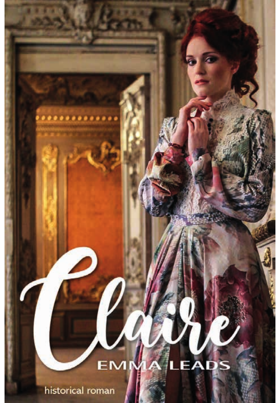## . . . . . . . . . . . . . . EADS EMM historical roman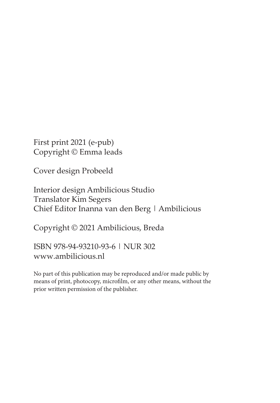First print 2021 (e-pub) Copyright © Emma leads

Cover design Probeeld

Interior design Ambilicious Studio Translator Kim Segers Chief Editor Inanna van den Berg | Ambilicious

Copyright © 2021 Ambilicious, Breda

ISBN 978-94-93210-93-6 | NUR 302 www.ambilicious.nl

No part of this publication may be reproduced and/or made public by means of print, photocopy, microfilm, or any other means, without the prior written permission of the publisher.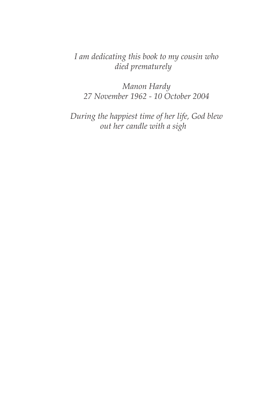*I am dedicating this book to my cousin who died prematurely*

*Manon Hardy 27 November 1962 - 10 October 2004*

*During the happiest time of her life, God blew out her candle with a sigh*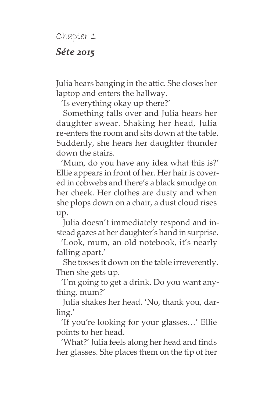Chapter 1

## *Séte 2015*

Julia hears banging in the attic. She closes her laptop and enters the hallway.

'Is everything okay up there?'

Something falls over and Julia hears her daughter swear. Shaking her head, Julia re-enters the room and sits down at the table. Suddenly, she hears her daughter thunder down the stairs.

'Mum, do you have any idea what this is?' Ellie appears in front of her. Her hair is covered in cobwebs and there's a black smudge on her cheek. Her clothes are dusty and when she plops down on a chair, a dust cloud rises up.

Julia doesn't immediately respond and instead gazes at her daughter's hand in surprise.

'Look, mum, an old notebook, it's nearly falling apart.'

She tosses it down on the table irreverently. Then she gets up.

'I'm going to get a drink. Do you want anything, mum?'

Julia shakes her head. 'No, thank you, darling.'

'If you're looking for your glasses…' Ellie points to her head.

'What?' Julia feels along her head and finds her glasses. She places them on the tip of her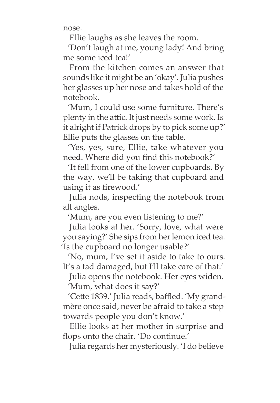nose.

Ellie laughs as she leaves the room.

'Don't laugh at me, young lady! And bring me some iced tea!'

From the kitchen comes an answer that sounds like it might be an 'okay'. Julia pushes her glasses up her nose and takes hold of the notebook.

'Mum, I could use some furniture. There's plenty in the attic. It just needs some work. Is it alright if Patrick drops by to pick some up?' Ellie puts the glasses on the table.

'Yes, yes, sure, Ellie, take whatever you need. Where did you find this notebook?'

'It fell from one of the lower cupboards. By the way, we'll be taking that cupboard and using it as firewood.'

Julia nods, inspecting the notebook from all angles.

'Mum, are you even listening to me?'

Julia looks at her. 'Sorry, love, what were you saying?' She sips from her lemon iced tea. 'Is the cupboard no longer usable?'

'No, mum, I've set it aside to take to ours. It's a tad damaged, but I'll take care of that.'

Julia opens the notebook. Her eyes widen. 'Mum, what does it say?'

'Cette 1839,' Julia reads, baffled. 'My grandmère once said, never be afraid to take a step towards people you don't know.'

Ellie looks at her mother in surprise and flops onto the chair. 'Do continue.'

Julia regards her mysteriously. 'I do believe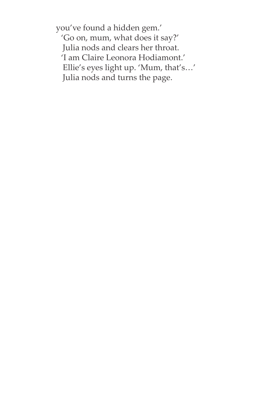you've found a hidden gem.' 'Go on, mum, what does it say?' Julia nods and clears her throat. 'I am Claire Leonora Hodiamont.' Ellie's eyes light up. 'Mum, that's…' Julia nods and turns the page.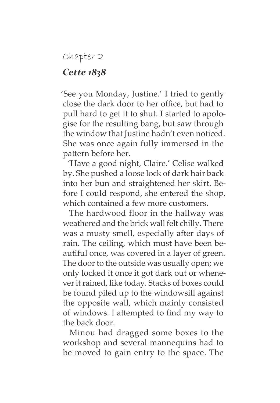## Chapter 2

## *Cette 1838*

'See you Monday, Justine.' I tried to gently close the dark door to her office, but had to pull hard to get it to shut. I started to apologise for the resulting bang, but saw through the window that Justine hadn't even noticed. She was once again fully immersed in the pattern before her.

'Have a good night, Claire.' Celise walked by. She pushed a loose lock of dark hair back into her bun and straightened her skirt. Before I could respond, she entered the shop, which contained a few more customers.

The hardwood floor in the hallway was weathered and the brick wall felt chilly. There was a musty smell, especially after days of rain. The ceiling, which must have been beautiful once, was covered in a layer of green. The door to the outside was usually open; we only locked it once it got dark out or whenever it rained, like today. Stacks of boxes could be found piled up to the windowsill against the opposite wall, which mainly consisted of windows. I attempted to find my way to the back door.

Minou had dragged some boxes to the workshop and several mannequins had to be moved to gain entry to the space. The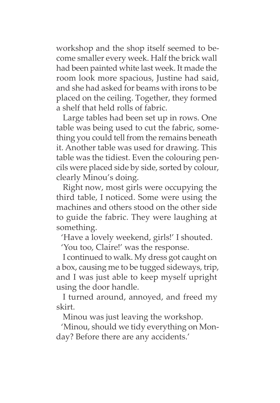workshop and the shop itself seemed to become smaller every week. Half the brick wall had been painted white last week. It made the room look more spacious, Justine had said, and she had asked for beams with irons to be placed on the ceiling. Together, they formed a shelf that held rolls of fabric.

Large tables had been set up in rows. One table was being used to cut the fabric, something you could tell from the remains beneath it. Another table was used for drawing. This table was the tidiest. Even the colouring pencils were placed side by side, sorted by colour, clearly Minou's doing.

Right now, most girls were occupying the third table, I noticed. Some were using the machines and others stood on the other side to guide the fabric. They were laughing at something.

'Have a lovely weekend, girls!' I shouted.

'You too, Claire!' was the response.

I continued to walk. My dress got caught on a box, causing me to be tugged sideways, trip, and I was just able to keep myself upright using the door handle.

I turned around, annoyed, and freed my skirt.

Minou was just leaving the workshop.

'Minou, should we tidy everything on Monday? Before there are any accidents.'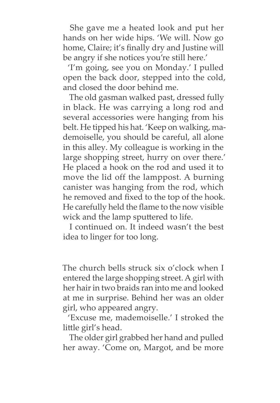She gave me a heated look and put her hands on her wide hips. 'We will. Now go home, Claire; it's finally dry and Justine will be angry if she notices you're still here.'

'I'm going, see you on Monday.' I pulled open the back door, stepped into the cold, and closed the door behind me.

The old gasman walked past, dressed fully in black. He was carrying a long rod and several accessories were hanging from his belt. He tipped his hat. 'Keep on walking, mademoiselle, you should be careful, all alone in this alley. My colleague is working in the large shopping street, hurry on over there.' He placed a hook on the rod and used it to move the lid off the lamppost. A burning canister was hanging from the rod, which he removed and fixed to the top of the hook. He carefully held the flame to the now visible wick and the lamp sputtered to life.

I continued on. It indeed wasn't the best idea to linger for too long.

The church bells struck six o'clock when I entered the large shopping street. A girl with her hair in two braids ran into me and looked at me in surprise. Behind her was an older girl, who appeared angry.

'Excuse me, mademoiselle.' I stroked the little girl's head.

The older girl grabbed her hand and pulled her away. 'Come on, Margot, and be more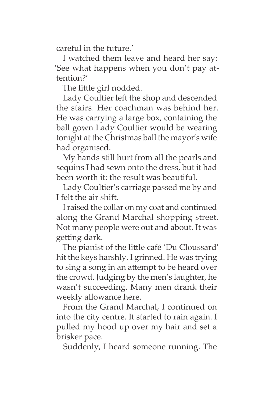careful in the future.'

I watched them leave and heard her say: 'See what happens when you don't pay attention?'

The little girl nodded.

Lady Coultier left the shop and descended the stairs. Her coachman was behind her. He was carrying a large box, containing the ball gown Lady Coultier would be wearing tonight at the Christmas ball the mayor's wife had organised.

My hands still hurt from all the pearls and sequins I had sewn onto the dress, but it had been worth it: the result was beautiful.

Lady Coultier's carriage passed me by and I felt the air shift.

I raised the collar on my coat and continued along the Grand Marchal shopping street. Not many people were out and about. It was getting dark.

The pianist of the little café 'Du Cloussard' hit the keys harshly. I grinned. He was trying to sing a song in an attempt to be heard over the crowd. Judging by the men's laughter, he wasn't succeeding. Many men drank their weekly allowance here.

From the Grand Marchal, I continued on into the city centre. It started to rain again. I pulled my hood up over my hair and set a brisker pace.

Suddenly, I heard someone running. The